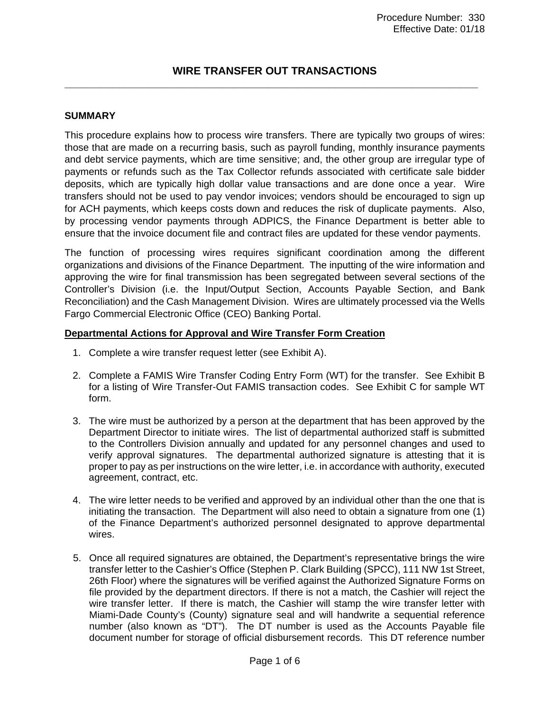## **WIRE TRANSFER OUT TRANSACTIONS \_\_\_\_\_\_\_\_\_\_\_\_\_\_\_\_\_\_\_\_\_\_\_\_\_\_\_\_\_\_\_\_\_\_\_\_\_\_\_\_\_\_\_\_\_\_\_\_\_\_\_\_\_\_\_\_\_\_\_\_\_\_\_\_\_\_\_\_\_**

#### **SUMMARY**

This procedure explains how to process wire transfers. There are typically two groups of wires: those that are made on a recurring basis, such as payroll funding, monthly insurance payments and debt service payments, which are time sensitive; and, the other group are irregular type of payments or refunds such as the Tax Collector refunds associated with certificate sale bidder deposits, which are typically high dollar value transactions and are done once a year. Wire transfers should not be used to pay vendor invoices; vendors should be encouraged to sign up for ACH payments, which keeps costs down and reduces the risk of duplicate payments. Also, by processing vendor payments through ADPICS, the Finance Department is better able to ensure that the invoice document file and contract files are updated for these vendor payments.

The function of processing wires requires significant coordination among the different organizations and divisions of the Finance Department. The inputting of the wire information and approving the wire for final transmission has been segregated between several sections of the Controller's Division (i.e. the Input/Output Section, Accounts Payable Section, and Bank Reconciliation) and the Cash Management Division. Wires are ultimately processed via the Wells Fargo Commercial Electronic Office (CEO) Banking Portal.

#### **Departmental Actions for Approval and Wire Transfer Form Creation**

- 1. Complete a wire transfer request letter (see Exhibit A).
- 2. Complete a FAMIS Wire Transfer Coding Entry Form (WT) for the transfer. See Exhibit B for a listing of Wire Transfer-Out FAMIS transaction codes. See Exhibit C for sample WT form.
- 3. The wire must be authorized by a person at the department that has been approved by the Department Director to initiate wires. The list of departmental authorized staff is submitted to the Controllers Division annually and updated for any personnel changes and used to verify approval signatures. The departmental authorized signature is attesting that it is proper to pay as per instructions on the wire letter, i.e. in accordance with authority, executed agreement, contract, etc.
- 4. The wire letter needs to be verified and approved by an individual other than the one that is initiating the transaction. The Department will also need to obtain a signature from one (1) of the Finance Department's authorized personnel designated to approve departmental wires.
- 5. Once all required signatures are obtained, the Department's representative brings the wire transfer letter to the Cashier's Office (Stephen P. Clark Building (SPCC), 111 NW 1st Street, 26th Floor) where the signatures will be verified against the Authorized Signature Forms on file provided by the department directors. If there is not a match, the Cashier will reject the wire transfer letter. If there is match, the Cashier will stamp the wire transfer letter with Miami-Dade County's (County) signature seal and will handwrite a sequential reference number (also known as "DT"). The DT number is used as the Accounts Payable file document number for storage of official disbursement records. This DT reference number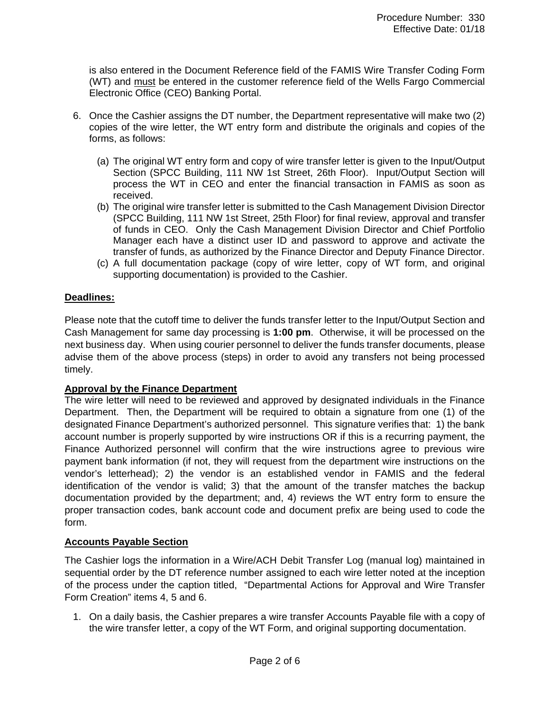is also entered in the Document Reference field of the FAMIS Wire Transfer Coding Form (WT) and must be entered in the customer reference field of the Wells Fargo Commercial Electronic Office (CEO) Banking Portal.

- 6. Once the Cashier assigns the DT number, the Department representative will make two (2) copies of the wire letter, the WT entry form and distribute the originals and copies of the forms, as follows:
	- (a) The original WT entry form and copy of wire transfer letter is given to the Input/Output Section (SPCC Building, 111 NW 1st Street, 26th Floor). Input/Output Section will process the WT in CEO and enter the financial transaction in FAMIS as soon as received.
	- (b) The original wire transfer letter is submitted to the Cash Management Division Director (SPCC Building, 111 NW 1st Street, 25th Floor) for final review, approval and transfer of funds in CEO. Only the Cash Management Division Director and Chief Portfolio Manager each have a distinct user ID and password to approve and activate the transfer of funds, as authorized by the Finance Director and Deputy Finance Director.
	- (c) A full documentation package (copy of wire letter, copy of WT form, and original supporting documentation) is provided to the Cashier.

### **Deadlines:**

Please note that the cutoff time to deliver the funds transfer letter to the Input/Output Section and Cash Management for same day processing is **1:00 pm**. Otherwise, it will be processed on the next business day. When using courier personnel to deliver the funds transfer documents, please advise them of the above process (steps) in order to avoid any transfers not being processed timely.

### **Approval by the Finance Department**

The wire letter will need to be reviewed and approved by designated individuals in the Finance Department. Then, the Department will be required to obtain a signature from one (1) of the designated Finance Department's authorized personnel. This signature verifies that: 1) the bank account number is properly supported by wire instructions OR if this is a recurring payment, the Finance Authorized personnel will confirm that the wire instructions agree to previous wire payment bank information (if not, they will request from the department wire instructions on the vendor's letterhead); 2) the vendor is an established vendor in FAMIS and the federal identification of the vendor is valid; 3) that the amount of the transfer matches the backup documentation provided by the department; and, 4) reviews the WT entry form to ensure the proper transaction codes, bank account code and document prefix are being used to code the form.

#### **Accounts Payable Section**

The Cashier logs the information in a Wire/ACH Debit Transfer Log (manual log) maintained in sequential order by the DT reference number assigned to each wire letter noted at the inception of the process under the caption titled, "Departmental Actions for Approval and Wire Transfer Form Creation" items 4, 5 and 6.

1. On a daily basis, the Cashier prepares a wire transfer Accounts Payable file with a copy of the wire transfer letter, a copy of the WT Form, and original supporting documentation.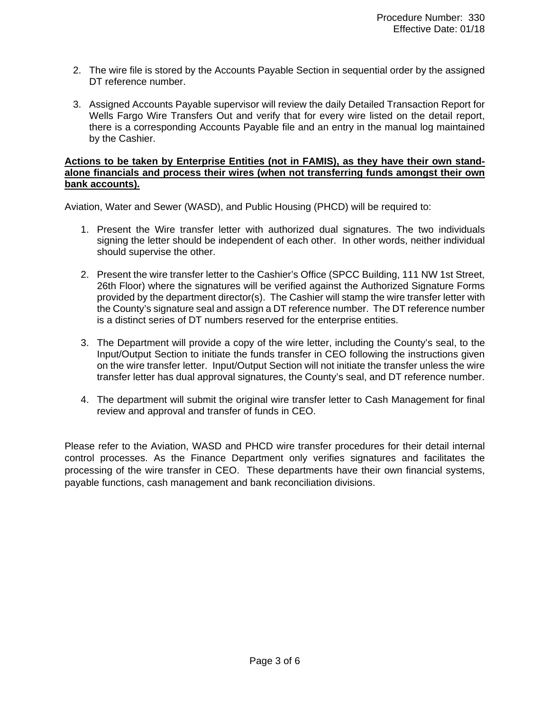- 2. The wire file is stored by the Accounts Payable Section in sequential order by the assigned DT reference number.
- 3. Assigned Accounts Payable supervisor will review the daily Detailed Transaction Report for Wells Fargo Wire Transfers Out and verify that for every wire listed on the detail report, there is a corresponding Accounts Payable file and an entry in the manual log maintained by the Cashier.

#### **Actions to be taken by Enterprise Entities (not in FAMIS), as they have their own standalone financials and process their wires (when not transferring funds amongst their own bank accounts).**

Aviation, Water and Sewer (WASD), and Public Housing (PHCD) will be required to:

- 1. Present the Wire transfer letter with authorized dual signatures. The two individuals signing the letter should be independent of each other. In other words, neither individual should supervise the other.
- 2. Present the wire transfer letter to the Cashier's Office (SPCC Building, 111 NW 1st Street, 26th Floor) where the signatures will be verified against the Authorized Signature Forms provided by the department director(s). The Cashier will stamp the wire transfer letter with the County's signature seal and assign a DT reference number. The DT reference number is a distinct series of DT numbers reserved for the enterprise entities.
- 3. The Department will provide a copy of the wire letter, including the County's seal, to the Input/Output Section to initiate the funds transfer in CEO following the instructions given on the wire transfer letter. Input/Output Section will not initiate the transfer unless the wire transfer letter has dual approval signatures, the County's seal, and DT reference number.
- 4. The department will submit the original wire transfer letter to Cash Management for final review and approval and transfer of funds in CEO.

Please refer to the Aviation, WASD and PHCD wire transfer procedures for their detail internal control processes. As the Finance Department only verifies signatures and facilitates the processing of the wire transfer in CEO. These departments have their own financial systems, payable functions, cash management and bank reconciliation divisions.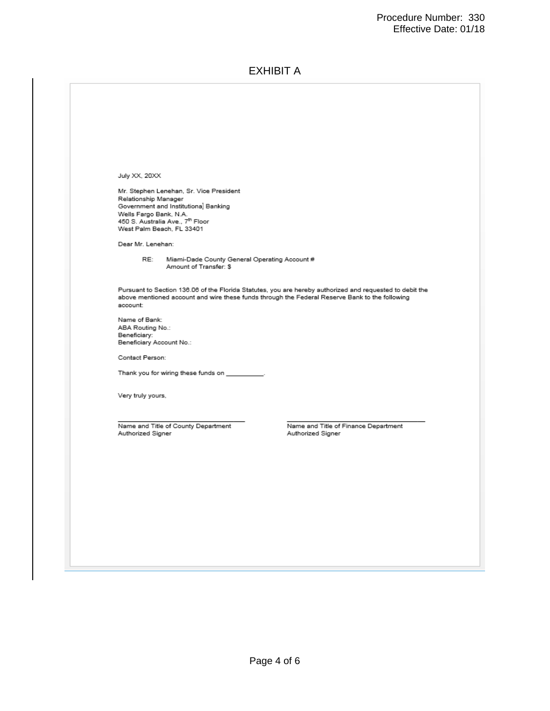## EXHIBIT A

July XX, 20XX Mr. Stephen Lenehan, Sr. Vice President Relationship Manager Government and Institutional Banking Overnment and institutional District<br>Wells Fargo Bank, N.A.<br>450 S. Australia Ave., 7<sup>th</sup> Floor<br>West Palm Beach, FL 33401 Dear Mr. Lenehan: RE: Miami-Dade County General Operating Account # Amount of Transfer: \$ Pursuant to Section 136.06 of the Florida Statutes, you are hereby authorized and requested to debit the<br>above mentioned account and wire these funds through the Federal Reserve Bank to the following account: Name of Bank: ABA Routing No.: Beneficiary: Beneficiary Account No.: Contact Person: Thank you for wiring these funds on \_\_ Very truly yours, Name and Title of County Department Name and Title of Finance Department Authorized Signer Authorized Signer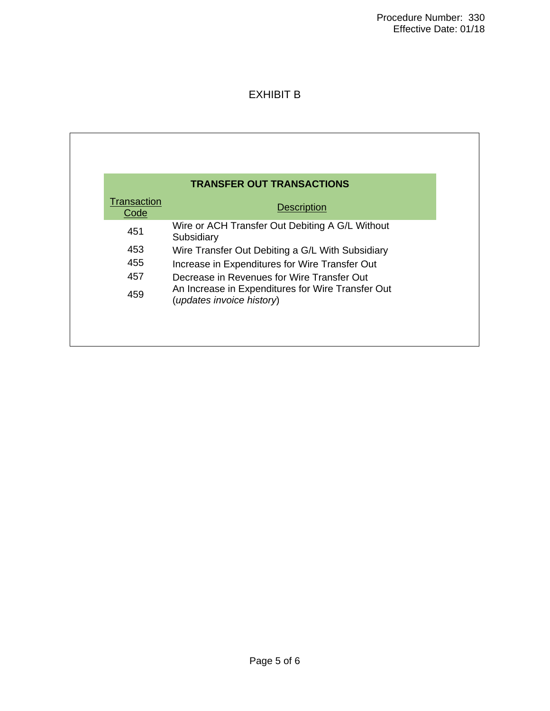# EXHIBIT B

| <b>TRANSFER OUT TRANSACTIONS</b> |                                                                                |  |  |  |  |  |  |  |  |  |
|----------------------------------|--------------------------------------------------------------------------------|--|--|--|--|--|--|--|--|--|
| <b>Transaction</b><br>Code       | <b>Description</b>                                                             |  |  |  |  |  |  |  |  |  |
| 451                              | Wire or ACH Transfer Out Debiting A G/L Without<br>Subsidiary                  |  |  |  |  |  |  |  |  |  |
| 453                              | Wire Transfer Out Debiting a G/L With Subsidiary                               |  |  |  |  |  |  |  |  |  |
| 455                              | Increase in Expenditures for Wire Transfer Out                                 |  |  |  |  |  |  |  |  |  |
| 457                              | Decrease in Revenues for Wire Transfer Out                                     |  |  |  |  |  |  |  |  |  |
| 459                              | An Increase in Expenditures for Wire Transfer Out<br>(updates invoice history) |  |  |  |  |  |  |  |  |  |